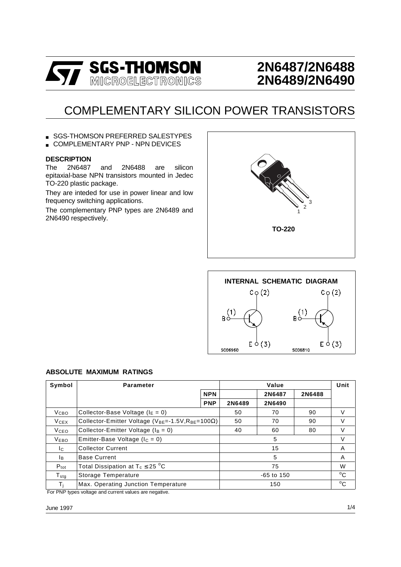

## **2N6487/2N6488 2N6489/2N6490**

# COMPLEMENTARY SILICON POWER TRANSISTORS

SGS-THOMSON PREFERRED SALESTYPES

COMPLEMENTARY PNP - NPN DEVICES

#### **DESCRIPTION**

The 2N6487 and 2N6488 are silicon epitaxial-base NPN transistors mounted in Jedec TO-220 plastic package.

They are inteded for use in power linear and low frequency switching applications.

The complementary PNP types are 2N6489 and 2N6490 respectively.





#### **ABSOLUTE MAXIMUM RATINGS**

| Symbol                  | <b>Parameter</b>                                                                              |            |              | Unit   |              |              |
|-------------------------|-----------------------------------------------------------------------------------------------|------------|--------------|--------|--------------|--------------|
|                         |                                                                                               | <b>NPN</b> |              | 2N6487 | 2N6488       |              |
|                         |                                                                                               | <b>PNP</b> | 2N6489       | 2N6490 |              |              |
| V <sub>CВО</sub>        | Collector-Base Voltage ( $IE = 0$ )                                                           | 50         | 70           | 90     | V            |              |
| V <sub>CEX</sub>        | Collector-Emitter Voltage ( $V_{BE}$ =-1.5V, R <sub>BE</sub> =100 $\Omega$ )                  |            | 50           | 70     | 90           | V            |
| <b>V</b> <sub>CEO</sub> | Collector-Emitter Voltage ( $I_B = 0$ )                                                       |            | 40           | 60     | 80           | V            |
| <b>VEBO</b>             | Emitter-Base Voltage ( $I_c = 0$ )                                                            |            | 5            |        |              | V            |
| Ic.                     | <b>Collector Current</b>                                                                      |            | 15           |        |              | A            |
| Iв.                     | <b>Base Current</b>                                                                           |            | 5            |        |              | A            |
| $P_{\text{tot}}$        | Total Dissipation at $T_c \leq 25$ °C                                                         |            | 75           |        |              | W            |
| ${\sf T}_{\sf stg}$     | Storage Temperature                                                                           |            | $-65$ to 150 |        |              | $^{\circ}$ C |
| Τi                      | Max. Operating Junction Temperature<br>Fee DND topes us to get and consent using a second the | 150        |              |        | $^{\circ}$ C |              |

For PNP types voltage and current values are negative.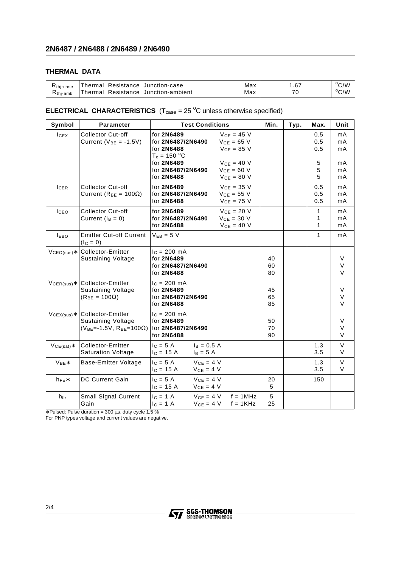#### **THERMAL DATA**

| K <sub>thi-case</sub> | Resistance Junction-case<br>Thermal  | Max | .67 | $\rm ^oC/W$    |
|-----------------------|--------------------------------------|-----|-----|----------------|
| $Rthi-amb$            | 'Thermal Resistance Junction-ambient | Max | 76  | $^{\circ}$ C/W |

#### **ELECTRICAL CHARACTERISTICS**  $(T_{\text{case}} = 25 \text{ °C}$  unless otherwise specified)

| Symbol          | <b>Parameter</b>                                                                         | <b>Test Conditions</b>                                                                                                                                                                                                       | Min.           | Typ. | Max.                             | Unit                             |
|-----------------|------------------------------------------------------------------------------------------|------------------------------------------------------------------------------------------------------------------------------------------------------------------------------------------------------------------------------|----------------|------|----------------------------------|----------------------------------|
| lcEx            | <b>Collector Cut-off</b><br>Current ( $V_{BE} = -1.5V$ )                                 | $VCF = 45 V$<br>for 2N6489<br>for 2N6487/2N6490<br>$V_{CE} = 65$ V<br>$V_{CE} = 85 V$<br>for 2N6488<br>$T_c = 150 °C$<br>for 2N6489<br>$V_{CF} = 40 V$<br>for 2N6487/2N6490<br>$VCE = 60 V$<br>for 2N6488<br>$V_{CE} = 80 V$ |                |      | 0.5<br>0.5<br>0.5<br>5<br>5<br>5 | mA<br>mA<br>mA<br>mA<br>mA<br>mA |
| <b>ICER</b>     | <b>Collector Cut-off</b><br>Current ( $R_{BE}$ = 100 $\Omega$ )                          | $VCE = 35 V$<br>for 2N6489<br>$V_{CE} = 55 V$<br>for 2N6487/2N6490<br>for 2N6488<br>$VCE = 75 V$                                                                                                                             |                |      | 0.5<br>0.5<br>0.5                | mA<br>mA<br>mA                   |
| ICEO            | <b>Collector Cut-off</b><br>Current $(I_B = 0)$                                          | $V_{CE} = 20 V$<br>for 2N6489<br>$V_{CE} = 30 V$<br>for 2N6487/2N6490<br>for 2N6488<br>$V_{CE}$ = 40 V                                                                                                                       |                |      | $\mathbf{1}$<br>1<br>1           | mA<br>mA<br>mA                   |
| <b>IEBO</b>     | <b>Emitter Cut-off Current</b><br>$(I_C = 0)$                                            | $V_{FB} = 5 V$                                                                                                                                                                                                               |                |      | 1                                | mA                               |
| $VCEO(sus)*$    | <b>Collector-Emitter</b><br><b>Sustaining Voltage</b>                                    | $c = 200$ mA<br>for 2N6489<br>for 2N6487/2N6490<br>for 2N6488                                                                                                                                                                | 40<br>60<br>80 |      |                                  | V<br>V<br>V                      |
| $V_{CER(sus)*}$ | Collector-Emitter<br><b>Sustaining Voltage</b><br>$(R_{BE} = 100\Omega)$                 | $I_c = 200$ mA<br>for 2N6489<br>for 2N6487/2N6490<br>for 2N6488                                                                                                                                                              | 45<br>65<br>85 |      |                                  | $\vee$<br>V<br>$\vee$            |
| $VCEX(sus)*$    | Collector-Emitter<br><b>Sustaining Voltage</b><br>$(V_{BE} = -1.5V, R_{BE} = 100\Omega)$ | $I_c = 200$ mA<br>for 2N6489<br>for 2N6487/2N6490<br>for 2N6488                                                                                                                                                              | 50<br>70<br>90 |      |                                  | $\vee$<br>V<br>V                 |
| $VCE(sat)*$     | Collector-Emitter<br><b>Saturation Voltage</b>                                           | $c = 5A$<br>$I_B = 0.5 A$<br>$I_c = 15 A$<br>$I_B = 5 A$                                                                                                                                                                     |                |      | 1.3<br>3.5                       | $\vee$<br>V                      |
| $V_{BE}$        | Base-Emitter Voltage                                                                     | $V_{CE} = 4 V$<br>$IC = 5 A$<br>$V_{CE} = 4 V$<br>$I_c = 15 A$                                                                                                                                                               |                |      | 1.3<br>3.5                       | $\vee$<br>V                      |
| $h_{FE}$ *      | DC Current Gain                                                                          | $V_{CE} = 4 V$<br>$IC = 5 A$<br>$V_{CE} = 4 V$<br>$I_C = 15 A$                                                                                                                                                               | 20<br>5        |      | 150                              |                                  |
| $h_{fe}$        | Small Signal Current<br>Gain                                                             | $V_{CE} = 4 V$<br>$I_C = 1 A$<br>$f = 1MHz$<br>$V_{CE} = 4 V$<br>$f = 1$ KHz<br>$I_C = 1 A$                                                                                                                                  | 5<br>25        |      |                                  |                                  |

∗ Pulsed: Pulse duration = 300 µs, duty cycle 1.5 %

For PNP types voltage and current values are negative.

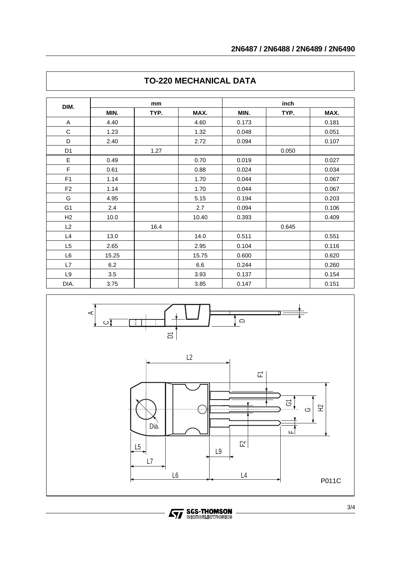| DIM.           | mm    |      |       | inch  |       |       |  |
|----------------|-------|------|-------|-------|-------|-------|--|
|                | MIN.  | TYP. | MAX.  | MIN.  | TYP.  | MAX.  |  |
| A              | 4.40  |      | 4.60  | 0.173 |       | 0.181 |  |
| $\mathbf C$    | 1.23  |      | 1.32  | 0.048 |       | 0.051 |  |
| D              | 2.40  |      | 2.72  | 0.094 |       | 0.107 |  |
| D <sub>1</sub> |       | 1.27 |       |       | 0.050 |       |  |
| E              | 0.49  |      | 0.70  | 0.019 |       | 0.027 |  |
| F              | 0.61  |      | 0.88  | 0.024 |       | 0.034 |  |
| F <sub>1</sub> | 1.14  |      | 1.70  | 0.044 |       | 0.067 |  |
| F <sub>2</sub> | 1.14  |      | 1.70  | 0.044 |       | 0.067 |  |
| G              | 4.95  |      | 5.15  | 0.194 |       | 0.203 |  |
| G <sub>1</sub> | 2.4   |      | 2.7   | 0.094 |       | 0.106 |  |
| H2             | 10.0  |      | 10.40 | 0.393 |       | 0.409 |  |
| L2             |       | 16.4 |       |       | 0.645 |       |  |
| L4             | 13.0  |      | 14.0  | 0.511 |       | 0.551 |  |
| L5             | 2.65  |      | 2.95  | 0.104 |       | 0.116 |  |
| L6             | 15.25 |      | 15.75 | 0.600 |       | 0.620 |  |
| L7             | 6.2   |      | 6.6   | 0.244 |       | 0.260 |  |
| L9             | 3.5   |      | 3.93  | 0.137 |       | 0.154 |  |
| DIA.           | 3.75  |      | 3.85  | 0.147 |       | 0.151 |  |

### **TO-220 MECHANICAL DATA**